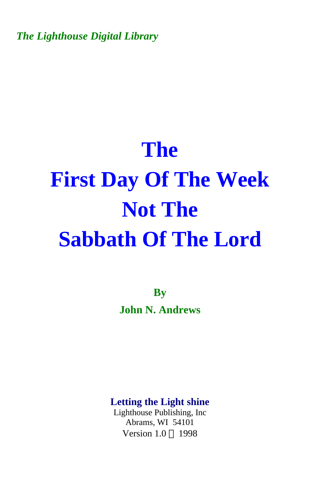*The Lighthouse Digital Library* 

## **The First Day Of The Week Not The Sabbath Of The Lord**

**By John N. Andrews** 

**Letting the Light shine** 

Lighthouse Publishing, Inc Abrams, WI 54101 Version  $1.0 \odot 1998$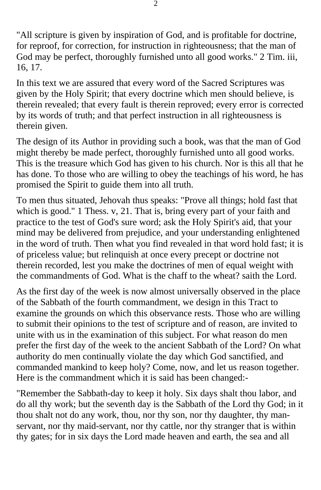"All scripture is given by inspiration of God, and is profitable for doctrine, for reproof, for correction, for instruction in righteousness; that the man of God may be perfect, thoroughly furnished unto all good works." 2 Tim. iii, 16, 17.

In this text we are assured that every word of the Sacred Scriptures was given by the Holy Spirit; that every doctrine which men should believe, is therein revealed; that every fault is therein reproved; every error is corrected by its words of truth; and that perfect instruction in all righteousness is therein given.

The design of its Author in providing such a book, was that the man of God might thereby be made perfect, thoroughly furnished unto all good works. This is the treasure which God has given to his church. Nor is this all that he has done. To those who are willing to obey the teachings of his word, he has promised the Spirit to guide them into all truth.

To men thus situated, Jehovah thus speaks: "Prove all things; hold fast that which is good." 1 Thess. v, 21. That is, bring every part of your faith and practice to the test of God's sure word; ask the Holy Spirit's aid, that your mind may be delivered from prejudice, and your understanding enlightened in the word of truth. Then what you find revealed in that word hold fast; it is of priceless value; but relinquish at once every precept or doctrine not therein recorded, lest you make the doctrines of men of equal weight with the commandments of God. What is the chaff to the wheat? saith the Lord.

As the first day of the week is now almost universally observed in the place of the Sabbath of the fourth commandment, we design in this Tract to examine the grounds on which this observance rests. Those who are willing to submit their opinions to the test of scripture and of reason, are invited to unite with us in the examination of this subject. For what reason do men prefer the first day of the week to the ancient Sabbath of the Lord? On what authority do men continually violate the day which God sanctified, and commanded mankind to keep holy? Come, now, and let us reason together. Here is the commandment which it is said has been changed:-

"Remember the Sabbath-day to keep it holy. Six days shalt thou labor, and do all thy work; but the seventh day is the Sabbath of the Lord thy God; in it thou shalt not do any work, thou, nor thy son, nor thy daughter, thy manservant, nor thy maid-servant, nor thy cattle, nor thy stranger that is within thy gates; for in six days the Lord made heaven and earth, the sea and all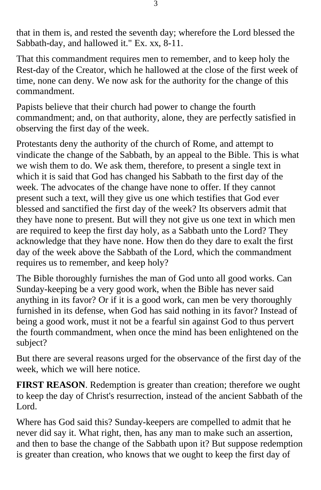that in them is, and rested the seventh day; wherefore the Lord blessed the Sabbath-day, and hallowed it." Ex. xx, 8-11.

That this commandment requires men to remember, and to keep holy the Rest-day of the Creator, which he hallowed at the close of the first week of time, none can deny. We now ask for the authority for the change of this commandment.

Papists believe that their church had power to change the fourth commandment; and, on that authority, alone, they are perfectly satisfied in observing the first day of the week.

Protestants deny the authority of the church of Rome, and attempt to vindicate the change of the Sabbath, by an appeal to the Bible. This is what we wish them to do. We ask them, therefore, to present a single text in which it is said that God has changed his Sabbath to the first day of the week. The advocates of the change have none to offer. If they cannot present such a text, will they give us one which testifies that God ever blessed and sanctified the first day of the week? Its observers admit that they have none to present. But will they not give us one text in which men are required to keep the first day holy, as a Sabbath unto the Lord? They acknowledge that they have none. How then do they dare to exalt the first day of the week above the Sabbath of the Lord, which the commandment requires us to remember, and keep holy?

The Bible thoroughly furnishes the man of God unto all good works. Can Sunday-keeping be a very good work, when the Bible has never said anything in its favor? Or if it is a good work, can men be very thoroughly furnished in its defense, when God has said nothing in its favor? Instead of being a good work, must it not be a fearful sin against God to thus pervert the fourth commandment, when once the mind has been enlightened on the subject?

But there are several reasons urged for the observance of the first day of the week, which we will here notice.

**FIRST REASON**. Redemption is greater than creation; therefore we ought to keep the day of Christ's resurrection, instead of the ancient Sabbath of the Lord.

Where has God said this? Sunday-keepers are compelled to admit that he never did say it. What right, then, has any man to make such an assertion, and then to base the change of the Sabbath upon it? But suppose redemption is greater than creation, who knows that we ought to keep the first day of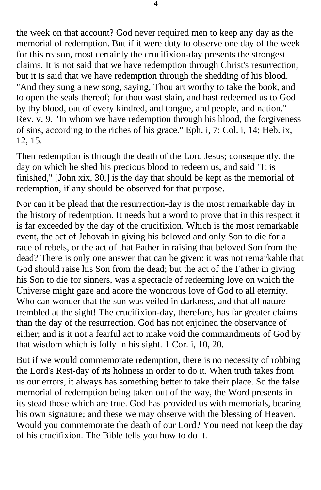the week on that account? God never required men to keep any day as the memorial of redemption. But if it were duty to observe one day of the week for this reason, most certainly the crucifixion-day presents the strongest claims. It is not said that we have redemption through Christ's resurrection; but it is said that we have redemption through the shedding of his blood. "And they sung a new song, saying, Thou art worthy to take the book, and to open the seals thereof; for thou wast slain, and hast redeemed us to God by thy blood, out of every kindred, and tongue, and people, and nation." Rev. v, 9. "In whom we have redemption through his blood, the forgiveness of sins, according to the riches of his grace." Eph. i, 7; Col. i, 14; Heb. ix, 12, 15.

Then redemption is through the death of the Lord Jesus; consequently, the day on which he shed his precious blood to redeem us, and said "It is finished," [John xix, 30,] is the day that should be kept as the memorial of redemption, if any should be observed for that purpose.

Nor can it be plead that the resurrection-day is the most remarkable day in the history of redemption. It needs but a word to prove that in this respect it is far exceeded by the day of the crucifixion. Which is the most remarkable event, the act of Jehovah in giving his beloved and only Son to die for a race of rebels, or the act of that Father in raising that beloved Son from the dead? There is only one answer that can be given: it was not remarkable that God should raise his Son from the dead; but the act of the Father in giving his Son to die for sinners, was a spectacle of redeeming love on which the Universe might gaze and adore the wondrous love of God to all eternity. Who can wonder that the sun was veiled in darkness, and that all nature trembled at the sight! The crucifixion-day, therefore, has far greater claims than the day of the resurrection. God has not enjoined the observance of either; and is it not a fearful act to make void the commandments of God by that wisdom which is folly in his sight. 1 Cor. i, 10, 20.

But if we would commemorate redemption, there is no necessity of robbing the Lord's Rest-day of its holiness in order to do it. When truth takes from us our errors, it always has something better to take their place. So the false memorial of redemption being taken out of the way, the Word presents in its stead those which are true. God has provided us with memorials, bearing his own signature; and these we may observe with the blessing of Heaven. Would you commemorate the death of our Lord? You need not keep the day of his crucifixion. The Bible tells you how to do it.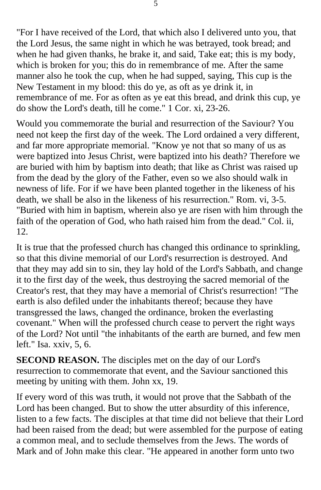"For I have received of the Lord, that which also I delivered unto you, that the Lord Jesus, the same night in which he was betrayed, took bread; and when he had given thanks, he brake it, and said, Take eat; this is my body, which is broken for you; this do in remembrance of me. After the same manner also he took the cup, when he had supped, saying, This cup is the New Testament in my blood: this do ye, as oft as ye drink it, in remembrance of me. For as often as ye eat this bread, and drink this cup, ye do show the Lord's death, till he come." 1 Cor. xi, 23-26.

Would you commemorate the burial and resurrection of the Saviour? You need not keep the first day of the week. The Lord ordained a very different, and far more appropriate memorial. "Know ye not that so many of us as were baptized into Jesus Christ, were baptized into his death? Therefore we are buried with him by baptism into death; that like as Christ was raised up from the dead by the glory of the Father, even so we also should walk in newness of life. For if we have been planted together in the likeness of his death, we shall be also in the likeness of his resurrection." Rom. vi, 3-5. "Buried with him in baptism, wherein also ye are risen with him through the faith of the operation of God, who hath raised him from the dead." Col. ii, 12.

It is true that the professed church has changed this ordinance to sprinkling, so that this divine memorial of our Lord's resurrection is destroyed. And that they may add sin to sin, they lay hold of the Lord's Sabbath, and change it to the first day of the week, thus destroying the sacred memorial of the Creator's rest, that they may have a memorial of Christ's resurrection! "The earth is also defiled under the inhabitants thereof; because they have transgressed the laws, changed the ordinance, broken the everlasting covenant." When will the professed church cease to pervert the right ways of the Lord? Not until "the inhabitants of the earth are burned, and few men left." Isa. xxiv, 5, 6.

**SECOND REASON.** The disciples met on the day of our Lord's resurrection to commemorate that event, and the Saviour sanctioned this meeting by uniting with them. John xx, 19.

If every word of this was truth, it would not prove that the Sabbath of the Lord has been changed. But to show the utter absurdity of this inference, listen to a few facts. The disciples at that time did not believe that their Lord had been raised from the dead; but were assembled for the purpose of eating a common meal, and to seclude themselves from the Jews. The words of Mark and of John make this clear. "He appeared in another form unto two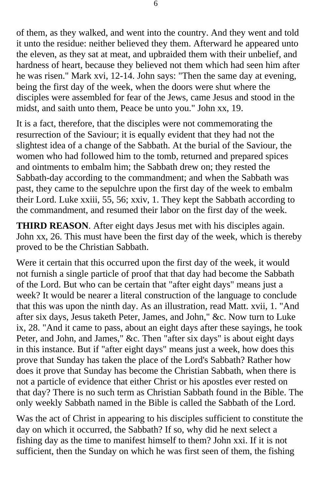of them, as they walked, and went into the country. And they went and told it unto the residue: neither believed they them. Afterward he appeared unto the eleven, as they sat at meat, and upbraided them with their unbelief, and hardness of heart, because they believed not them which had seen him after he was risen." Mark xvi, 12-14. John says: "Then the same day at evening, being the first day of the week, when the doors were shut where the disciples were assembled for fear of the Jews, came Jesus and stood in the midst, and saith unto them, Peace be unto you." John xx, 19.

It is a fact, therefore, that the disciples were not commemorating the resurrection of the Saviour; it is equally evident that they had not the slightest idea of a change of the Sabbath. At the burial of the Saviour, the women who had followed him to the tomb, returned and prepared spices and ointments to embalm him; the Sabbath drew on; they rested the Sabbath-day according to the commandment; and when the Sabbath was past, they came to the sepulchre upon the first day of the week to embalm their Lord. Luke xxiii, 55, 56; xxiv, 1. They kept the Sabbath according to the commandment, and resumed their labor on the first day of the week.

**THIRD REASON**. After eight days Jesus met with his disciples again. John xx, 26. This must have been the first day of the week, which is thereby proved to be the Christian Sabbath.

Were it certain that this occurred upon the first day of the week, it would not furnish a single particle of proof that that day had become the Sabbath of the Lord. But who can be certain that "after eight days" means just a week? It would be nearer a literal construction of the language to conclude that this was upon the ninth day. As an illustration, read Matt. xvii, 1. "And after six days, Jesus taketh Peter, James, and John," &c. Now turn to Luke ix, 28. "And it came to pass, about an eight days after these sayings, he took Peter, and John, and James," &c. Then "after six days" is about eight days in this instance. But if "after eight days" means just a week, how does this prove that Sunday has taken the place of the Lord's Sabbath? Rather how does it prove that Sunday has become the Christian Sabbath, when there is not a particle of evidence that either Christ or his apostles ever rested on that day? There is no such term as Christian Sabbath found in the Bible. The only weekly Sabbath named in the Bible is called the Sabbath of the Lord.

Was the act of Christ in appearing to his disciples sufficient to constitute the day on which it occurred, the Sabbath? If so, why did he next select a fishing day as the time to manifest himself to them? John xxi. If it is not sufficient, then the Sunday on which he was first seen of them, the fishing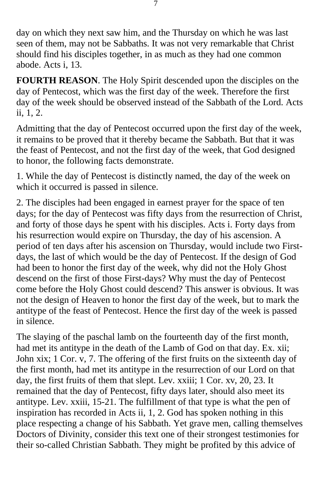day on which they next saw him, and the Thursday on which he was last seen of them, may not be Sabbaths. It was not very remarkable that Christ should find his disciples together, in as much as they had one common abode. Acts i, 13.

**FOURTH REASON**. The Holy Spirit descended upon the disciples on the day of Pentecost, which was the first day of the week. Therefore the first day of the week should be observed instead of the Sabbath of the Lord. Acts ii, 1, 2.

Admitting that the day of Pentecost occurred upon the first day of the week, it remains to be proved that it thereby became the Sabbath. But that it was the feast of Pentecost, and not the first day of the week, that God designed to honor, the following facts demonstrate.

1. While the day of Pentecost is distinctly named, the day of the week on which it occurred is passed in silence.

2. The disciples had been engaged in earnest prayer for the space of ten days; for the day of Pentecost was fifty days from the resurrection of Christ, and forty of those days he spent with his disciples. Acts i. Forty days from his resurrection would expire on Thursday, the day of his ascension. A period of ten days after his ascension on Thursday, would include two Firstdays, the last of which would be the day of Pentecost. If the design of God had been to honor the first day of the week, why did not the Holy Ghost descend on the first of those First-days? Why must the day of Pentecost come before the Holy Ghost could descend? This answer is obvious. It was not the design of Heaven to honor the first day of the week, but to mark the antitype of the feast of Pentecost. Hence the first day of the week is passed in silence.

The slaying of the paschal lamb on the fourteenth day of the first month, had met its antitype in the death of the Lamb of God on that day. Ex. xii; John xix; 1 Cor. v, 7. The offering of the first fruits on the sixteenth day of the first month, had met its antitype in the resurrection of our Lord on that day, the first fruits of them that slept. Lev. xxiii; 1 Cor. xv, 20, 23. It remained that the day of Pentecost, fifty days later, should also meet its antitype. Lev. xxiii, 15-21. The fulfillment of that type is what the pen of inspiration has recorded in Acts ii, 1, 2. God has spoken nothing in this place respecting a change of his Sabbath. Yet grave men, calling themselves Doctors of Divinity, consider this text one of their strongest testimonies for their so-called Christian Sabbath. They might be profited by this advice of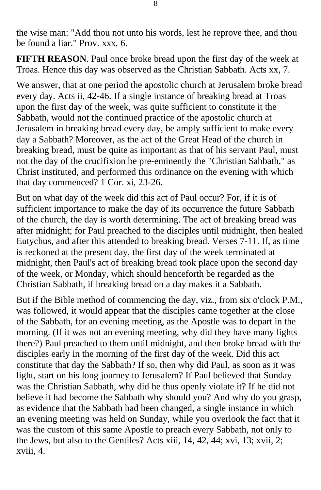the wise man: "Add thou not unto his words, lest he reprove thee, and thou be found a liar." Prov. xxx, 6.

**FIFTH REASON**. Paul once broke bread upon the first day of the week at Troas. Hence this day was observed as the Christian Sabbath. Acts xx, 7.

We answer, that at one period the apostolic church at Jerusalem broke bread every day. Acts ii, 42-46. If a single instance of breaking bread at Troas upon the first day of the week, was quite sufficient to constitute it the Sabbath, would not the continued practice of the apostolic church at Jerusalem in breaking bread every day, be amply sufficient to make every day a Sabbath? Moreover, as the act of the Great Head of the church in breaking bread, must be quite as important as that of his servant Paul, must not the day of the crucifixion be pre-eminently the "Christian Sabbath," as Christ instituted, and performed this ordinance on the evening with which that day commenced? 1 Cor. xi, 23-26.

But on what day of the week did this act of Paul occur? For, if it is of sufficient importance to make the day of its occurrence the future Sabbath of the church, the day is worth determining. The act of breaking bread was after midnight; for Paul preached to the disciples until midnight, then healed Eutychus, and after this attended to breaking bread. Verses 7-11. If, as time is reckoned at the present day, the first day of the week terminated at midnight, then Paul's act of breaking bread took place upon the second day of the week, or Monday, which should henceforth be regarded as the Christian Sabbath, if breaking bread on a day makes it a Sabbath.

But if the Bible method of commencing the day, viz., from six o'clock P.M., was followed, it would appear that the disciples came together at the close of the Sabbath, for an evening meeting, as the Apostle was to depart in the morning. (If it was not an evening meeting, why did they have many lights there?) Paul preached to them until midnight, and then broke bread with the disciples early in the morning of the first day of the week. Did this act constitute that day the Sabbath? If so, then why did Paul, as soon as it was light, start on his long journey to Jerusalem? If Paul believed that Sunday was the Christian Sabbath, why did he thus openly violate it? If he did not believe it had become the Sabbath why should you? And why do you grasp, as evidence that the Sabbath had been changed, a single instance in which an evening meeting was held on Sunday, while you overlook the fact that it was the custom of this same Apostle to preach every Sabbath, not only to the Jews, but also to the Gentiles? Acts xiii, 14, 42, 44; xvi, 13; xvii, 2; xviii, 4.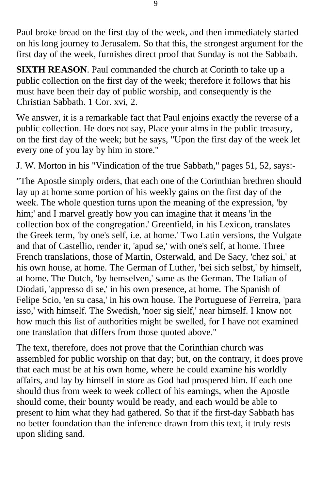Paul broke bread on the first day of the week, and then immediately started on his long journey to Jerusalem. So that this, the strongest argument for the first day of the week, furnishes direct proof that Sunday is not the Sabbath.

**SIXTH REASON**. Paul commanded the church at Corinth to take up a public collection on the first day of the week; therefore it follows that his must have been their day of public worship, and consequently is the Christian Sabbath. 1 Cor. xvi, 2.

We answer, it is a remarkable fact that Paul enjoins exactly the reverse of a public collection. He does not say, Place your alms in the public treasury, on the first day of the week; but he says, "Upon the first day of the week let every one of you lay by him in store."

J. W. Morton in his "Vindication of the true Sabbath," pages 51, 52, says:-

"The Apostle simply orders, that each one of the Corinthian brethren should lay up at home some portion of his weekly gains on the first day of the week. The whole question turns upon the meaning of the expression, 'by him;' and I marvel greatly how you can imagine that it means 'in the collection box of the congregation.' Greenfield, in his Lexicon, translates the Greek term, 'by one's self, i.e. at home.' Two Latin versions, the Vulgate and that of Castellio, render it, 'apud se,' with one's self, at home. Three French translations, those of Martin, Osterwald, and De Sacy, 'chez soi,' at his own house, at home. The German of Luther, 'bei sich selbst,' by himself, at home. The Dutch, 'by hemselven,' same as the German. The Italian of Diodati, 'appresso di se,' in his own presence, at home. The Spanish of Felipe Scio, 'en su casa,' in his own house. The Portuguese of Ferreira, 'para isso,' with himself. The Swedish, 'noer sig sielf,' near himself. I know not how much this list of authorities might be swelled, for I have not examined one translation that differs from those quoted above."

The text, therefore, does not prove that the Corinthian church was assembled for public worship on that day; but, on the contrary, it does prove that each must be at his own home, where he could examine his worldly affairs, and lay by himself in store as God had prospered him. If each one should thus from week to week collect of his earnings, when the Apostle should come, their bounty would be ready, and each would be able to present to him what they had gathered. So that if the first-day Sabbath has no better foundation than the inference drawn from this text, it truly rests upon sliding sand.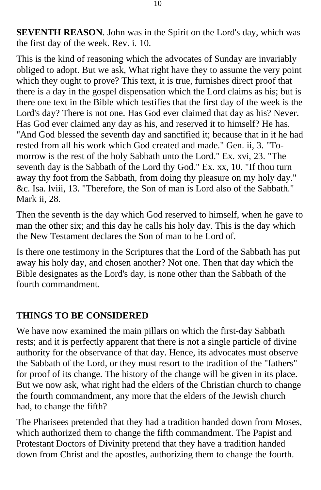**SEVENTH REASON**. John was in the Spirit on the Lord's day, which was the first day of the week. Rev. i. 10.

This is the kind of reasoning which the advocates of Sunday are invariably obliged to adopt. But we ask, What right have they to assume the very point which they ought to prove? This text, it is true, furnishes direct proof that there is a day in the gospel dispensation which the Lord claims as his; but is there one text in the Bible which testifies that the first day of the week is the Lord's day? There is not one. Has God ever claimed that day as his? Never. Has God ever claimed any day as his, and reserved it to himself? He has. "And God blessed the seventh day and sanctified it; because that in it he had rested from all his work which God created and made." Gen. ii, 3. "Tomorrow is the rest of the holy Sabbath unto the Lord." Ex. xvi, 23. "The seventh day is the Sabbath of the Lord thy God." Ex. xx, 10. "If thou turn away thy foot from the Sabbath, from doing thy pleasure on my holy day." &c. Isa. lviii, 13. "Therefore, the Son of man is Lord also of the Sabbath." Mark ii, 28.

Then the seventh is the day which God reserved to himself, when he gave to man the other six; and this day he calls his holy day. This is the day which the New Testament declares the Son of man to be Lord of.

Is there one testimony in the Scriptures that the Lord of the Sabbath has put away his holy day, and chosen another? Not one. Then that day which the Bible designates as the Lord's day, is none other than the Sabbath of the fourth commandment.

## **THINGS TO BE CONSIDERED**

We have now examined the main pillars on which the first-day Sabbath rests; and it is perfectly apparent that there is not a single particle of divine authority for the observance of that day. Hence, its advocates must observe the Sabbath of the Lord, or they must resort to the tradition of the "fathers" for proof of its change. The history of the change will be given in its place. But we now ask, what right had the elders of the Christian church to change the fourth commandment, any more that the elders of the Jewish church had, to change the fifth?

The Pharisees pretended that they had a tradition handed down from Moses, which authorized them to change the fifth commandment. The Papist and Protestant Doctors of Divinity pretend that they have a tradition handed down from Christ and the apostles, authorizing them to change the fourth.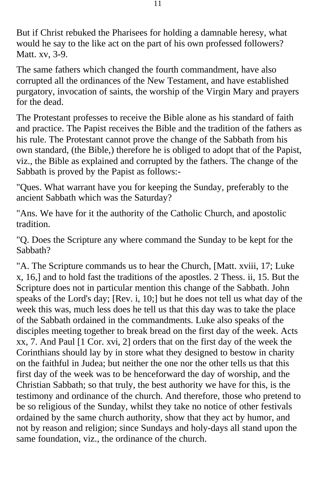But if Christ rebuked the Pharisees for holding a damnable heresy, what would he say to the like act on the part of his own professed followers? Matt. xv, 3-9.

The same fathers which changed the fourth commandment, have also corrupted all the ordinances of the New Testament, and have established purgatory, invocation of saints, the worship of the Virgin Mary and prayers for the dead.

The Protestant professes to receive the Bible alone as his standard of faith and practice. The Papist receives the Bible and the tradition of the fathers as his rule. The Protestant cannot prove the change of the Sabbath from his own standard, (the Bible,) therefore he is obliged to adopt that of the Papist, viz., the Bible as explained and corrupted by the fathers. The change of the Sabbath is proved by the Papist as follows:-

"Ques. What warrant have you for keeping the Sunday, preferably to the ancient Sabbath which was the Saturday?

"Ans. We have for it the authority of the Catholic Church, and apostolic tradition.

"Q. Does the Scripture any where command the Sunday to be kept for the Sabbath?

"A. The Scripture commands us to hear the Church, [Matt. xviii, 17; Luke x, 16,] and to hold fast the traditions of the apostles. 2 Thess. ii, 15. But the Scripture does not in particular mention this change of the Sabbath. John speaks of the Lord's day; [Rev. i, 10;] but he does not tell us what day of the week this was, much less does he tell us that this day was to take the place of the Sabbath ordained in the commandments. Luke also speaks of the disciples meeting together to break bread on the first day of the week. Acts xx, 7. And Paul [1 Cor. xvi, 2] orders that on the first day of the week the Corinthians should lay by in store what they designed to bestow in charity on the faithful in Judea; but neither the one nor the other tells us that this first day of the week was to be henceforward the day of worship, and the Christian Sabbath; so that truly, the best authority we have for this, is the testimony and ordinance of the church. And therefore, those who pretend to be so religious of the Sunday, whilst they take no notice of other festivals ordained by the same church authority, show that they act by humor, and not by reason and religion; since Sundays and holy-days all stand upon the same foundation, viz., the ordinance of the church.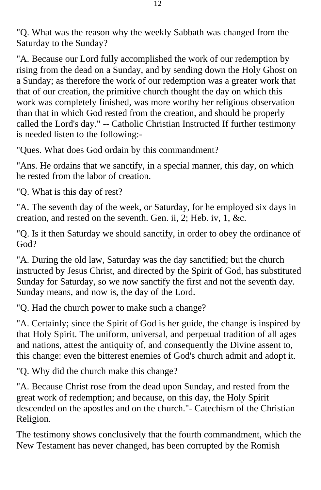"Q. What was the reason why the weekly Sabbath was changed from the Saturday to the Sunday?

"A. Because our Lord fully accomplished the work of our redemption by rising from the dead on a Sunday, and by sending down the Holy Ghost on a Sunday; as therefore the work of our redemption was a greater work that that of our creation, the primitive church thought the day on which this work was completely finished, was more worthy her religious observation than that in which God rested from the creation, and should be properly called the Lord's day." -- Catholic Christian Instructed If further testimony is needed listen to the following:-

"Ques. What does God ordain by this commandment?

"Ans. He ordains that we sanctify, in a special manner, this day, on which he rested from the labor of creation.

"Q. What is this day of rest?

"A. The seventh day of the week, or Saturday, for he employed six days in creation, and rested on the seventh. Gen. ii, 2; Heb. iv, 1, &c.

"Q. Is it then Saturday we should sanctify, in order to obey the ordinance of God?

"A. During the old law, Saturday was the day sanctified; but the church instructed by Jesus Christ, and directed by the Spirit of God, has substituted Sunday for Saturday, so we now sanctify the first and not the seventh day. Sunday means, and now is, the day of the Lord.

"Q. Had the church power to make such a change?

"A. Certainly; since the Spirit of God is her guide, the change is inspired by that Holy Spirit. The uniform, universal, and perpetual tradition of all ages and nations, attest the antiquity of, and consequently the Divine assent to, this change: even the bitterest enemies of God's church admit and adopt it.

"Q. Why did the church make this change?

"A. Because Christ rose from the dead upon Sunday, and rested from the great work of redemption; and because, on this day, the Holy Spirit descended on the apostles and on the church."- Catechism of the Christian Religion.

The testimony shows conclusively that the fourth commandment, which the New Testament has never changed, has been corrupted by the Romish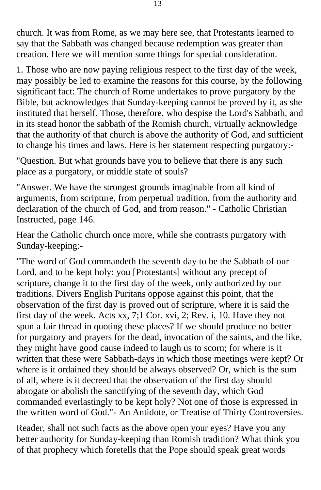church. It was from Rome, as we may here see, that Protestants learned to say that the Sabbath was changed because redemption was greater than creation. Here we will mention some things for special consideration.

1. Those who are now paying religious respect to the first day of the week, may possibly be led to examine the reasons for this course, by the following significant fact: The church of Rome undertakes to prove purgatory by the Bible, but acknowledges that Sunday-keeping cannot be proved by it, as she instituted that herself. Those, therefore, who despise the Lord's Sabbath, and in its stead honor the sabbath of the Romish church, virtually acknowledge that the authority of that church is above the authority of God, and sufficient to change his times and laws. Here is her statement respecting purgatory:-

"Question. But what grounds have you to believe that there is any such place as a purgatory, or middle state of souls?

"Answer. We have the strongest grounds imaginable from all kind of arguments, from scripture, from perpetual tradition, from the authority and declaration of the church of God, and from reason." - Catholic Christian Instructed, page 146.

Hear the Catholic church once more, while she contrasts purgatory with Sunday-keeping:-

"The word of God commandeth the seventh day to be the Sabbath of our Lord, and to be kept holy: you [Protestants] without any precept of scripture, change it to the first day of the week, only authorized by our traditions. Divers English Puritans oppose against this point, that the observation of the first day is proved out of scripture, where it is said the first day of the week. Acts xx, 7;1 Cor. xvi, 2; Rev. i, 10. Have they not spun a fair thread in quoting these places? If we should produce no better for purgatory and prayers for the dead, invocation of the saints, and the like, they might have good cause indeed to laugh us to scorn; for where is it written that these were Sabbath-days in which those meetings were kept? Or where is it ordained they should be always observed? Or, which is the sum of all, where is it decreed that the observation of the first day should abrogate or abolish the sanctifying of the seventh day, which God commanded everlastingly to be kept holy? Not one of those is expressed in the written word of God."- An Antidote, or Treatise of Thirty Controversies.

Reader, shall not such facts as the above open your eyes? Have you any better authority for Sunday-keeping than Romish tradition? What think you of that prophecy which foretells that the Pope should speak great words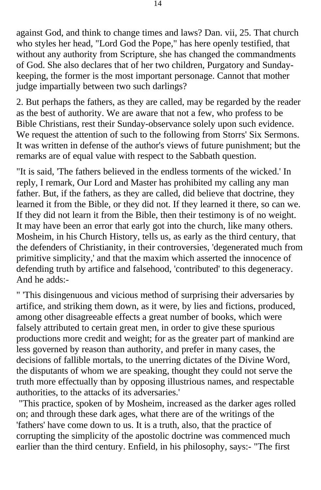against God, and think to change times and laws? Dan. vii, 25. That church who styles her head, "Lord God the Pope," has here openly testified, that without any authority from Scripture, she has changed the commandments of God. She also declares that of her two children, Purgatory and Sundaykeeping, the former is the most important personage. Cannot that mother judge impartially between two such darlings?

2. But perhaps the fathers, as they are called, may be regarded by the reader as the best of authority. We are aware that not a few, who profess to be Bible Christians, rest their Sunday-observance solely upon such evidence. We request the attention of such to the following from Storrs' Six Sermons. It was written in defense of the author's views of future punishment; but the remarks are of equal value with respect to the Sabbath question.

"It is said, 'The fathers believed in the endless torments of the wicked.' In reply, I remark, Our Lord and Master has prohibited my calling any man father. But, if the fathers, as they are called, did believe that doctrine, they learned it from the Bible, or they did not. If they learned it there, so can we. If they did not learn it from the Bible, then their testimony is of no weight. It may have been an error that early got into the church, like many others. Mosheim, in his Church History, tells us, as early as the third century, that the defenders of Christianity, in their controversies, 'degenerated much from primitive simplicity,' and that the maxim which asserted the innocence of defending truth by artifice and falsehood, 'contributed' to this degeneracy. And he adds:-

" 'This disingenuous and vicious method of surprising their adversaries by artifice, and striking them down, as it were, by lies and fictions, produced, among other disagreeable effects a great number of books, which were falsely attributed to certain great men, in order to give these spurious productions more credit and weight; for as the greater part of mankind are less governed by reason than authority, and prefer in many cases, the decisions of fallible mortals, to the unerring dictates of the Divine Word, the disputants of whom we are speaking, thought they could not serve the truth more effectually than by opposing illustrious names, and respectable authorities, to the attacks of its adversaries.'

 "This practice, spoken of by Mosheim, increased as the darker ages rolled on; and through these dark ages, what there are of the writings of the 'fathers' have come down to us. It is a truth, also, that the practice of corrupting the simplicity of the apostolic doctrine was commenced much earlier than the third century. Enfield, in his philosophy, says:- "The first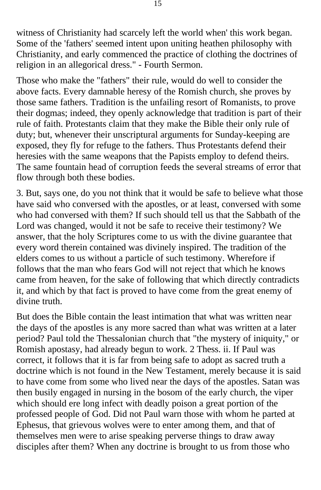witness of Christianity had scarcely left the world when' this work began. Some of the 'fathers' seemed intent upon uniting heathen philosophy with Christianity, and early commenced the practice of clothing the doctrines of religion in an allegorical dress." - Fourth Sermon.

Those who make the "fathers" their rule, would do well to consider the above facts. Every damnable heresy of the Romish church, she proves by those same fathers. Tradition is the unfailing resort of Romanists, to prove their dogmas; indeed, they openly acknowledge that tradition is part of their rule of faith. Protestants claim that they make the Bible their only rule of duty; but, whenever their unscriptural arguments for Sunday-keeping are exposed, they fly for refuge to the fathers. Thus Protestants defend their heresies with the same weapons that the Papists employ to defend theirs. The same fountain head of corruption feeds the several streams of error that flow through both these bodies.

3. But, says one, do you not think that it would be safe to believe what those have said who conversed with the apostles, or at least, conversed with some who had conversed with them? If such should tell us that the Sabbath of the Lord was changed, would it not be safe to receive their testimony? We answer, that the holy Scriptures come to us with the divine guarantee that every word therein contained was divinely inspired. The tradition of the elders comes to us without a particle of such testimony. Wherefore if follows that the man who fears God will not reject that which he knows came from heaven, for the sake of following that which directly contradicts it, and which by that fact is proved to have come from the great enemy of divine truth.

But does the Bible contain the least intimation that what was written near the days of the apostles is any more sacred than what was written at a later period? Paul told the Thessalonian church that "the mystery of iniquity," or Romish apostasy, had already begun to work. 2 Thess. ii. If Paul was correct, it follows that it is far from being safe to adopt as sacred truth a doctrine which is not found in the New Testament, merely because it is said to have come from some who lived near the days of the apostles. Satan was then busily engaged in nursing in the bosom of the early church, the viper which should ere long infect with deadly poison a great portion of the professed people of God. Did not Paul warn those with whom he parted at Ephesus, that grievous wolves were to enter among them, and that of themselves men were to arise speaking perverse things to draw away disciples after them? When any doctrine is brought to us from those who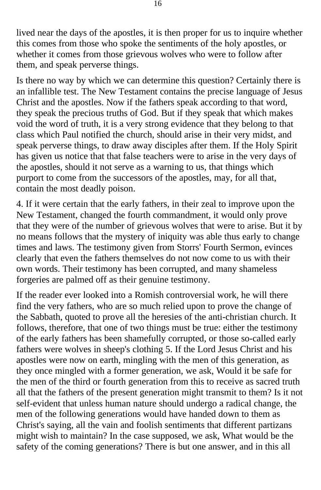lived near the days of the apostles, it is then proper for us to inquire whether this comes from those who spoke the sentiments of the holy apostles, or whether it comes from those grievous wolves who were to follow after them, and speak perverse things.

Is there no way by which we can determine this question? Certainly there is an infallible test. The New Testament contains the precise language of Jesus Christ and the apostles. Now if the fathers speak according to that word, they speak the precious truths of God. But if they speak that which makes void the word of truth, it is a very strong evidence that they belong to that class which Paul notified the church, should arise in their very midst, and speak perverse things, to draw away disciples after them. If the Holy Spirit has given us notice that that false teachers were to arise in the very days of the apostles, should it not serve as a warning to us, that things which purport to come from the successors of the apostles, may, for all that, contain the most deadly poison.

4. If it were certain that the early fathers, in their zeal to improve upon the New Testament, changed the fourth commandment, it would only prove that they were of the number of grievous wolves that were to arise. But it by no means follows that the mystery of iniquity was able thus early to change times and laws. The testimony given from Storrs' Fourth Sermon, evinces clearly that even the fathers themselves do not now come to us with their own words. Their testimony has been corrupted, and many shameless forgeries are palmed off as their genuine testimony.

If the reader ever looked into a Romish controversial work, he will there find the very fathers, who are so much relied upon to prove the change of the Sabbath, quoted to prove all the heresies of the anti-christian church. It follows, therefore, that one of two things must be true: either the testimony of the early fathers has been shamefully corrupted, or those so-called early fathers were wolves in sheep's clothing 5. If the Lord Jesus Christ and his apostles were now on earth, mingling with the men of this generation, as they once mingled with a former generation, we ask, Would it be safe for the men of the third or fourth generation from this to receive as sacred truth all that the fathers of the present generation might transmit to them? Is it not self-evident that unless human nature should undergo a radical change, the men of the following generations would have handed down to them as Christ's saying, all the vain and foolish sentiments that different partizans might wish to maintain? In the case supposed, we ask, What would be the safety of the coming generations? There is but one answer, and in this all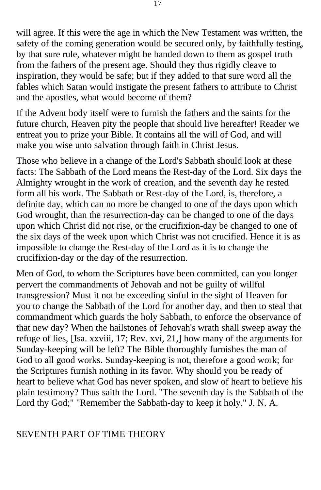will agree. If this were the age in which the New Testament was written, the safety of the coming generation would be secured only, by faithfully testing, by that sure rule, whatever might be handed down to them as gospel truth from the fathers of the present age. Should they thus rigidly cleave to inspiration, they would be safe; but if they added to that sure word all the fables which Satan would instigate the present fathers to attribute to Christ and the apostles, what would become of them?

If the Advent body itself were to furnish the fathers and the saints for the future church, Heaven pity the people that should live hereafter! Reader we entreat you to prize your Bible. It contains all the will of God, and will make you wise unto salvation through faith in Christ Jesus.

Those who believe in a change of the Lord's Sabbath should look at these facts: The Sabbath of the Lord means the Rest-day of the Lord. Six days the Almighty wrought in the work of creation, and the seventh day he rested form all his work. The Sabbath or Rest-day of the Lord, is, therefore, a definite day, which can no more be changed to one of the days upon which God wrought, than the resurrection-day can be changed to one of the days upon which Christ did not rise, or the crucifixion-day be changed to one of the six days of the week upon which Christ was not crucified. Hence it is as impossible to change the Rest-day of the Lord as it is to change the crucifixion-day or the day of the resurrection.

Men of God, to whom the Scriptures have been committed, can you longer pervert the commandments of Jehovah and not be guilty of willful transgression? Must it not be exceeding sinful in the sight of Heaven for you to change the Sabbath of the Lord for another day, and then to steal that commandment which guards the holy Sabbath, to enforce the observance of that new day? When the hailstones of Jehovah's wrath shall sweep away the refuge of lies, [Isa. xxviii, 17; Rev. xvi, 21,] how many of the arguments for Sunday-keeping will be left? The Bible thoroughly furnishes the man of God to all good works. Sunday-keeping is not, therefore a good work; for the Scriptures furnish nothing in its favor. Why should you be ready of heart to believe what God has never spoken, and slow of heart to believe his plain testimony? Thus saith the Lord. "The seventh day is the Sabbath of the Lord thy God;" "Remember the Sabbath-day to keep it holy." J. N. A.

## SEVENTH PART OF TIME THEORY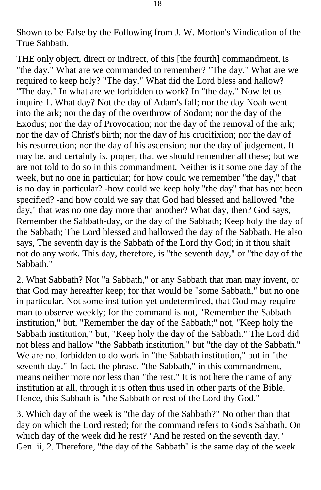Shown to be False by the Following from J. W. Morton's Vindication of the True Sabbath.

THE only object, direct or indirect, of this [the fourth] commandment, is "the day." What are we commanded to remember? "The day." What are we required to keep holy? "The day." What did the Lord bless and hallow? "The day." In what are we forbidden to work? In "the day." Now let us inquire 1. What day? Not the day of Adam's fall; nor the day Noah went into the ark; nor the day of the overthrow of Sodom; nor the day of the Exodus; nor the day of Provocation; nor the day of the removal of the ark; nor the day of Christ's birth; nor the day of his crucifixion; nor the day of his resurrection; nor the day of his ascension; nor the day of judgement. It may be, and certainly is, proper, that we should remember all these; but we are not told to do so in this commandment. Neither is it some one day of the week, but no one in particular; for how could we remember "the day," that is no day in particular? -how could we keep holy "the day" that has not been specified? -and how could we say that God had blessed and hallowed "the day," that was no one day more than another? What day, then? God says, Remember the Sabbath-day, or the day of the Sabbath; Keep holy the day of the Sabbath; The Lord blessed and hallowed the day of the Sabbath. He also says, The seventh day is the Sabbath of the Lord thy God; in it thou shalt not do any work. This day, therefore, is "the seventh day," or "the day of the Sabbath."

2. What Sabbath? Not "a Sabbath," or any Sabbath that man may invent, or that God may hereafter keep; for that would be "some Sabbath," but no one in particular. Not some institution yet undetermined, that God may require man to observe weekly; for the command is not, "Remember the Sabbath institution," but, "Remember the day of the Sabbath;" not, "Keep holy the Sabbath institution," but, "Keep holy the day of the Sabbath." The Lord did not bless and hallow "the Sabbath institution," but "the day of the Sabbath." We are not forbidden to do work in "the Sabbath institution," but in "the seventh day." In fact, the phrase, "the Sabbath," in this commandment, means neither more nor less than "the rest." It is not here the name of any institution at all, through it is often thus used in other parts of the Bible. Hence, this Sabbath is "the Sabbath or rest of the Lord thy God."

3. Which day of the week is "the day of the Sabbath?" No other than that day on which the Lord rested; for the command refers to God's Sabbath. On which day of the week did he rest? "And he rested on the seventh day." Gen. ii, 2. Therefore, "the day of the Sabbath" is the same day of the week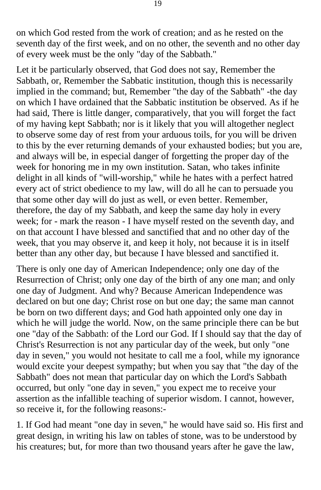on which God rested from the work of creation; and as he rested on the seventh day of the first week, and on no other, the seventh and no other day of every week must be the only "day of the Sabbath."

Let it be particularly observed, that God does not say, Remember the Sabbath, or, Remember the Sabbatic institution, though this is necessarily implied in the command; but, Remember "the day of the Sabbath" -the day on which I have ordained that the Sabbatic institution be observed. As if he had said, There is little danger, comparatively, that you will forget the fact of my having kept Sabbath; nor is it likely that you will altogether neglect to observe some day of rest from your arduous toils, for you will be driven to this by the ever returning demands of your exhausted bodies; but you are, and always will be, in especial danger of forgetting the proper day of the week for honoring me in my own institution. Satan, who takes infinite delight in all kinds of "will-worship," while he hates with a perfect hatred every act of strict obedience to my law, will do all he can to persuade you that some other day will do just as well, or even better. Remember, therefore, the day of my Sabbath, and keep the same day holy in every week; for - mark the reason - I have myself rested on the seventh day, and on that account I have blessed and sanctified that and no other day of the week, that you may observe it, and keep it holy, not because it is in itself better than any other day, but because I have blessed and sanctified it.

There is only one day of American Independence; only one day of the Resurrection of Christ; only one day of the birth of any one man; and only one day of Judgment. And why? Because American Independence was declared on but one day; Christ rose on but one day; the same man cannot be born on two different days; and God hath appointed only one day in which he will judge the world. Now, on the same principle there can be but one "day of the Sabbath: of the Lord our God. If I should say that the day of Christ's Resurrection is not any particular day of the week, but only "one day in seven," you would not hesitate to call me a fool, while my ignorance would excite your deepest sympathy; but when you say that "the day of the Sabbath" does not mean that particular day on which the Lord's Sabbath occurred, but only "one day in seven," you expect me to receive your assertion as the infallible teaching of superior wisdom. I cannot, however, so receive it, for the following reasons:-

1. If God had meant "one day in seven," he would have said so. His first and great design, in writing his law on tables of stone, was to be understood by his creatures; but, for more than two thousand years after he gave the law,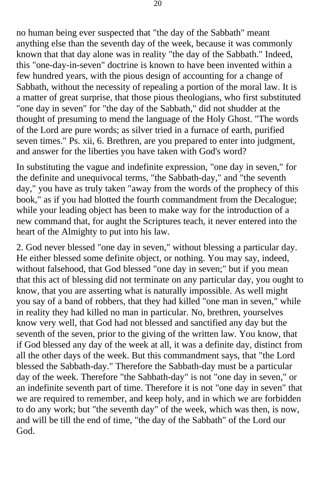no human being ever suspected that "the day of the Sabbath" meant anything else than the seventh day of the week, because it was commonly known that that day alone was in reality "the day of the Sabbath." Indeed, this "one-day-in-seven" doctrine is known to have been invented within a few hundred years, with the pious design of accounting for a change of Sabbath, without the necessity of repealing a portion of the moral law. It is a matter of great surprise, that those pious theologians, who first substituted "one day in seven" for "the day of the Sabbath," did not shudder at the thought of presuming to mend the language of the Holy Ghost. "The words of the Lord are pure words; as silver tried in a furnace of earth, purified seven times." Ps. xii, 6. Brethren, are you prepared to enter into judgment, and answer for the liberties you have taken with God's word?

In substituting the vague and indefinite expression, "one day in seven," for the definite and unequivocal terms, "the Sabbath-day," and "the seventh day," you have as truly taken "away from the words of the prophecy of this book," as if you had blotted the fourth commandment from the Decalogue; while your leading object has been to make way for the introduction of a new command that, for aught the Scriptures teach, it never entered into the heart of the Almighty to put into his law.

2. God never blessed "one day in seven," without blessing a particular day. He either blessed some definite object, or nothing. You may say, indeed, without falsehood, that God blessed "one day in seven;" but if you mean that this act of blessing did not terminate on any particular day, you ought to know, that you are asserting what is naturally impossible. As well might you say of a band of robbers, that they had killed "one man in seven," while in reality they had killed no man in particular. No, brethren, yourselves know very well, that God had not blessed and sanctified any day but the seventh of the seven, prior to the giving of the written law. You know, that if God blessed any day of the week at all, it was a definite day, distinct from all the other days of the week. But this commandment says, that "the Lord blessed the Sabbath-day." Therefore the Sabbath-day must be a particular day of the week. Therefore "the Sabbath-day" is not "one day in seven," or an indefinite seventh part of time. Therefore it is not "one day in seven" that we are required to remember, and keep holy, and in which we are forbidden to do any work; but "the seventh day" of the week, which was then, is now, and will be till the end of time, "the day of the Sabbath" of the Lord our God.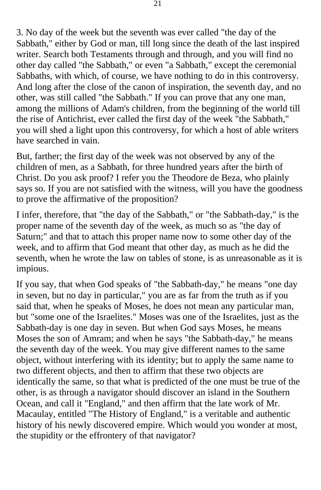3. No day of the week but the seventh was ever called "the day of the Sabbath," either by God or man, till long since the death of the last inspired writer. Search both Testaments through and through, and you will find no other day called "the Sabbath," or even "a Sabbath," except the ceremonial Sabbaths, with which, of course, we have nothing to do in this controversy. And long after the close of the canon of inspiration, the seventh day, and no other, was still called "the Sabbath." If you can prove that any one man, among the millions of Adam's children, from the beginning of the world till the rise of Antichrist, ever called the first day of the week "the Sabbath," you will shed a light upon this controversy, for which a host of able writers have searched in vain.

But, farther; the first day of the week was not observed by any of the children of men, as a Sabbath, for three hundred years after the birth of Christ. Do you ask proof? I refer you the Theodore de Beza, who plainly says so. If you are not satisfied with the witness, will you have the goodness to prove the affirmative of the proposition?

I infer, therefore, that "the day of the Sabbath," or "the Sabbath-day," is the proper name of the seventh day of the week, as much so as "the day of Saturn;" and that to attach this proper name now to some other day of the week, and to affirm that God meant that other day, as much as he did the seventh, when he wrote the law on tables of stone, is as unreasonable as it is impious.

If you say, that when God speaks of "the Sabbath-day," he means "one day in seven, but no day in particular," you are as far from the truth as if you said that, when he speaks of Moses, he does not mean any particular man, but "some one of the Israelites." Moses was one of the Israelites, just as the Sabbath-day is one day in seven. But when God says Moses, he means Moses the son of Amram; and when he says "the Sabbath-day," he means the seventh day of the week. You may give different names to the same object, without interfering with its identity; but to apply the same name to two different objects, and then to affirm that these two objects are identically the same, so that what is predicted of the one must be true of the other, is as through a navigator should discover an island in the Southern Ocean, and call it "England," and then affirm that the late work of Mr. Macaulay, entitled "The History of England," is a veritable and authentic history of his newly discovered empire. Which would you wonder at most, the stupidity or the effrontery of that navigator?